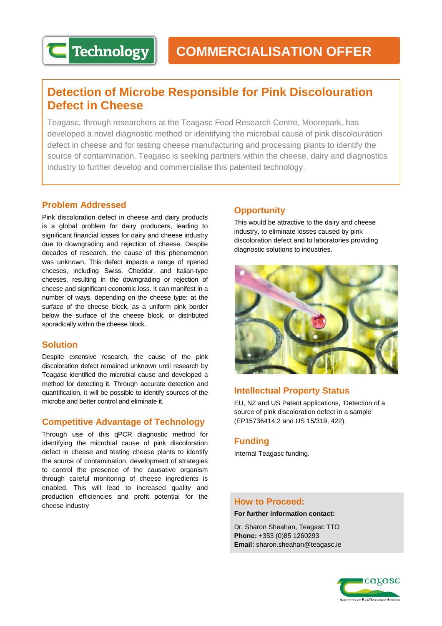# **Detection of Microbe Responsible for Pink Discolouration Defect in Cheese**

Teagasc, through researchers at the Teagasc Food Research Centre, Moorepark, has developed a novel diagnostic method or identifying the microbial cause of pink discolouration defect in cheese and for testing cheese manufacturing and processing plants to identify the source of contamination. Teagasc is seeking partners within the cheese, dairy and diagnostics industry to further develop and commercialise this patented technology.

## **Problem Addressed**

**Technology** 

Pink discoloration defect in cheese and dairy products is a global problem for dairy producers, leading to significant financial losses for dairy and cheese industry due to downgrading and rejection of cheese. Despite decades of research, the cause of this phenomenon was unknown. This defect impacts a range of ripened cheeses, including Swiss, Cheddar, and Italian-type cheeses, resulting in the downgrading or rejection of cheese and significant economic loss. It can manifest in a number of ways, depending on the cheese type: at the surface of the cheese block, as a uniform pink border below the surface of the cheese block, or distributed sporadically within the cheese block.

## **Solution**

Despite extensive research, the cause of the pink discoloration defect remained unknown until research by Teagasc identified the microbial cause and developed a method for detecting it. Through accurate detection and quantification, it will be possible to identify sources of the microbe and better control and eliminate it.

# **Competitive Advantage of Technology**

Through use of this qPCR diagnostic method for identifying the microbial cause of pink discoloration defect in cheese and testing cheese plants to identify the source of contamination, development of strategies to control the presence of the causative organism through careful monitoring of cheese ingredients is enabled. This will lead to increased quality and production efficiencies and profit potential for the cheese industry

# **Opportunity**

This would be attractive to the dairy and cheese industry, to eliminate losses caused by pink discoloration defect and to laboratories providing diagnostic solutions to industries.



# **Intellectual Property Status**

EU, NZ and US Patent applications, 'Detection of a source of pink discoloration defect in a sample' (EP15736414.2 and US 15/319, 422).

## **Funding**

Internal Teagasc funding.

## **How to Proceed:**

**For further information contact:**

Dr. Sharon Sheahan, Teagasc TTO **Phone:** +353 (0)85 1260293 **Email:** sharon.sheahan@teagasc.ie